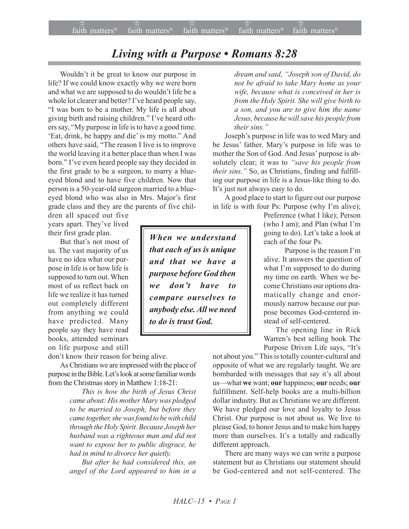## *Living with a Purpose • Romans 8:28*

Wouldn't it be great to know our purpose in life? If we could know exactly why we were born and what we are supposed to do wouldn't life be a whole lot clearer and better? I've heard people say, "I was born to be a mother. My life is all about giving birth and raising children." I've heard others say, "My purpose in life is to have a good time. 'Eat, drink, be happy and die' is my motto." And others have said, "The reason I live is to improve the world leaving it a better place than when I was born." I've even heard people say they decided in the first grade to be a surgeon, to marry a blueeyed blond and to have five children. Now that person is a 50-year-old surgeon married to a blueeyed blond who was also in Mrs. Major's first grade class and they are the parents of five chil-

dren all spaced out five years apart. They've lived their first grade plan.

But that's not most of us. The vast majority of us have no idea what our purpose in life is or how life is supposed to turn out. When most of us reflect back on life we realize it has turned out completely different from anything we could have predicted. Many people say they have read books, attended seminars on life purpose and still

don't know their reason for being alive.

As Christians we are impressed with the place of purpose in the Bible. Let's look at some familiar words from the Christmas story in Matthew 1:18-21:

> *This is how the birth of Jesus Christ came about: His mother Mary was pledged to be married to Joseph, but before they came together, she was found to be with child through the Holy Spirit. Because Joseph her husband was a righteous man and did not want to expose her to public disgrace, he had in mind to divorce her quietly.*

> *But after he had considered this, an angel of the Lord appeared to him in a*

*When we understand that each of us is unique and that we have a purpose before God then we donít have to compare ourselves to anybody else. All we need to do is trust God.*

*dream and said, ìJoseph son of David, do not be afraid to take Mary home as your wife, because what is conceived in her is from the Holy Spirit. She will give birth to a son, and you are to give him the name Jesus, because he will save his people from their sins.*"

Joseph's purpose in life was to wed Mary and be Jesus' father. Mary's purpose in life was to mother the Son of God. And Jesus' purpose is absolutely clear; it was to "save his people from *their sins.*" So, as Christians, finding and fulfilling our purpose in life is a Jesus-like thing to do. It's just not always easy to do.

A good place to start to figure out our purpose in life is with four Ps: Purpose (why I'm alive);

> Preference (what I like); Person (who I am); and Plan (what I'm going to do). Let's take a look at each of the four Ps.

> Purpose is the reason I'm alive. It answers the question of what I'm supposed to do during my time on earth. When we become Christians our options dramatically change and enormously narrow because our purpose becomes God-centered instead of self-centered.

> The opening line in Rick Warren's best selling book The Purpose Driven Life says, "It's

not about you." This is totally counter-cultural and opposite of what we are regularly taught. We are bombarded with messages that say it's all about us—what we want; our happiness; our needs; our fulfillment. Self-help books are a multi-billion dollar industry. But as Christians we are different. We have pledged our love and loyalty to Jesus Christ. Our purpose is not about us. We live to please God, to honor Jesus and to make him happy more than ourselves. It's a totally and radically different approach.

There are many ways we can write a purpose statement but as Christians our statement should be God-centered and not self-centered. The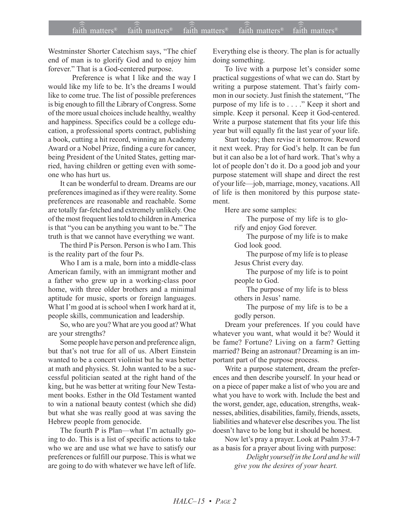Westminster Shorter Catechism says, "The chief end of man is to glorify God and to enjoy him forever." That is a God-centered purpose.

Preference is what I like and the way I would like my life to be. It's the dreams I would like to come true. The list of possible preferences is big enough to fill the Library of Congress. Some of the more usual choices include healthy, wealthy and happiness. Specifics could be a college education, a professional sports contract, publishing a book, cutting a hit record, winning an Academy Award or a Nobel Prize, finding a cure for cancer, being President of the United States, getting married, having children or getting even with someone who has hurt us.

It can be wonderful to dream. Dreams are our preferences imagined as if they were reality. Some preferences are reasonable and reachable. Some are totally far-fetched and extremely unlikely. One of the most frequent lies told to children in America is that "you can be anything you want to be." The truth is that we cannot have everything we want.

The third P is Person. Person is who I am. This is the reality part of the four Ps.

Who I am is a male, born into a middle-class American family, with an immigrant mother and a father who grew up in a working-class poor home, with three older brothers and a minimal aptitude for music, sports or foreign languages. What I'm good at is school when I work hard at it, people skills, communication and leadership.

So, who are you? What are you good at? What are your strengths?

Some people have person and preference align, but that's not true for all of us. Albert Einstein wanted to be a concert violinist but he was better at math and physics. St. John wanted to be a successful politician seated at the right hand of the king, but he was better at writing four New Testament books. Esther in the Old Testament wanted to win a national beauty contest (which she did) but what she was really good at was saving the Hebrew people from genocide.

The fourth P is Plan—what I'm actually going to do. This is a list of specific actions to take who we are and use what we have to satisfy our preferences or fulfill our purpose. This is what we are going to do with whatever we have left of life. Everything else is theory. The plan is for actually doing something.

To live with a purpose let's consider some practical suggestions of what we can do. Start by writing a purpose statement. That's fairly common in our society. Just finish the statement, "The purpose of my life is to . . . ." Keep it short and simple. Keep it personal. Keep it God-centered. Write a purpose statement that fits your life this year but will equally fit the last year of your life.

Start today; then revise it tomorrow. Reword it next week. Pray for God's help. It can be fun but it can also be a lot of hard work. That's why a lot of people don't do it. Do a good job and your purpose statement will shape and direct the rest of your life-job, marriage, money, vacations. All of life is then monitored by this purpose statement.

Here are some samples:

The purpose of my life is to glorify and enjoy God forever.

The purpose of my life is to make God look good.

The purpose of my life is to please Jesus Christ every day.

The purpose of my life is to point people to God.

The purpose of my life is to bless others in Jesus' name.

The purpose of my life is to be a godly person.

Dream your preferences. If you could have whatever you want, what would it be? Would it be fame? Fortune? Living on a farm? Getting married? Being an astronaut? Dreaming is an important part of the purpose process.

Write a purpose statement, dream the preferences and then describe yourself. In your head or on a piece of paper make a list of who you are and what you have to work with. Include the best and the worst, gender, age, education, strengths, weaknesses, abilities, disabilities, family, friends, assets, liabilities and whatever else describes you. The list doesn't have to be long but it should be honest.

Now let's pray a prayer. Look at Psalm 37:4-7 as a basis for a prayer about living with purpose:

*Delight yourself in the Lord and he will give you the desires of your heart.*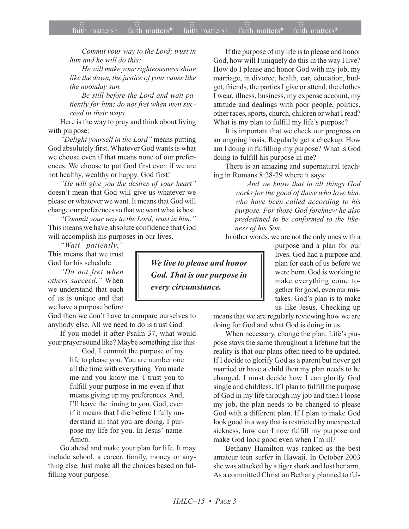*Commit your way to the Lord; trust in him and he will do this:*

*He will make your righteousness shine like the dawn, the justice of your cause like the noonday sun.*

*Be still before the Lord and wait patiently for him; do not fret when men succeed in their ways.*

Here is the way to pray and think about living with purpose:

*<sup><i>'*</sup>Delight yourself in the Lord'' means putting God absolutely first. Whatever God wants is what we choose even if that means none of our preferences. We choose to put God first even if we are not healthy, wealthy or happy. God first!

*<sup>8</sup>He will give you the desires of your heart*<sup>*?</sup></sup></sup>* doesn't mean that God will give us whatever we please or whatever we want. It means that God will change our preferences so that we want what is best.

*ìCommit your way to the Lord; trust in him.î* This means we have absolute confidence that God will accomplish his purposes in our lives.

*ìWait patiently.î* This means that we trust God for his schedule.

*ìDo not fret when others succeed*.*î* When we understand that each of us is unique and that we have a purpose before

God then we don't have to compare ourselves to anybody else. All we need to do is trust God.

If you model it after Psalm 37, what would your prayer sound like? Maybe something like this:

God, I commit the purpose of my life to please you. You are number one all the time with everything. You made me and you know me. I trust you to fulfill your purpose in me even if that means giving up my preferences. And, I'll leave the timing to you, God, even if it means that I die before I fully understand all that you are doing. I purpose my life for you. In Jesus' name. Amen.

Go ahead and make your plan for life. It may include school, a career, family, money or anything else. Just make all the choices based on fulfilling your purpose.

If the purpose of my life is to please and honor God, how will I uniquely do this in the way I live? How do I please and honor God with my job, my marriage, in divorce, health, car, education, budget, friends, the parties I give or attend, the clothes I wear, illness, business, my expense account, my attitude and dealings with poor people, politics, other races, sports, church, children or what I read? What is my plan to fulfill my life's purpose?

It is important that we check our progress on an ongoing basis. Regularly get a checkup. How am I doing in fulfilling my purpose? What is God doing to fulfill his purpose in me?

There is an amazing and supernatural teaching in Romans 8:28-29 where it says:

> *And we know that in all things God works for the good of those who love him, who have been called according to his purpose. For those God foreknew he also predestined to be conformed to the likeness of his Son.*

In other words, we are not the only ones with a

purpose and a plan for our lives. God had a purpose and plan for each of us before we were born. God is working to make everything come together for good, even our mistakes. God's plan is to make us like Jesus. Checking up

means that we are regularly reviewing how we are doing for God and what God is doing in us.

When necessary, change the plan. Life's purpose stays the same throughout a lifetime but the reality is that our plans often need to be updated. If I decide to glorify God as a parent but never get married or have a child then my plan needs to be changed. I must decide how I can glorify God single and childless. If I plan to fulfill the purpose of God in my life through my job and then I loose my job, the plan needs to be changed to please God with a different plan. If I plan to make God look good in a way that is restricted by unexpected sickness, how can I now fulfill my purpose and make God look good even when I'm ill?

Bethany Hamilton was ranked as the best amateur teen surfer in Hawaii. In October 2003 she was attacked by a tiger shark and lost her arm. As a committed Christian Bethany planned to ful-

*We live to please and honor God. That is our purpose in every circumstance.*